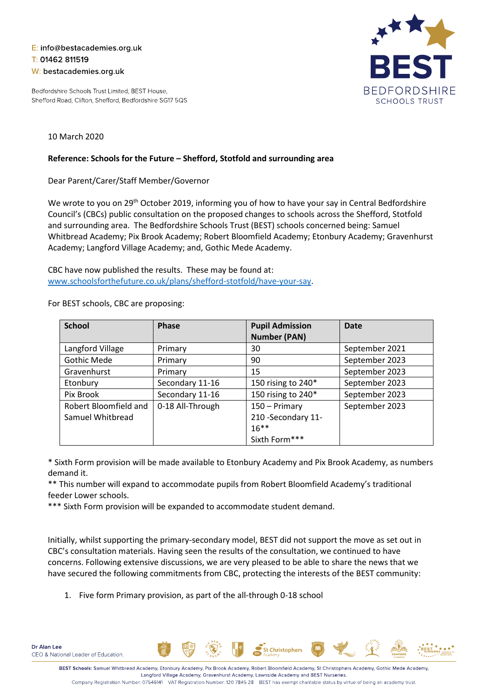## E: info@bestacademies.org.uk T: 01462 811519 W: bestacademies.org.uk

Bedfordshire Schools Trust Limited, BEST House, Shefford Road, Clifton, Shefford, Bedfordshire SG17 5QS



## 10 March 2020

## **Reference: Schools for the Future – Shefford, Stotfold and surrounding area**

Dear Parent/Carer/Staff Member/Governor

We wrote to you on 29<sup>th</sup> October 2019, informing you of how to have your say in Central Bedfordshire Council's (CBCs) public consultation on the proposed changes to schools across the Shefford, Stotfold and surrounding area. The Bedfordshire Schools Trust (BEST) schools concerned being: Samuel Whitbread Academy; Pix Brook Academy; Robert Bloomfield Academy; Etonbury Academy; Gravenhurst Academy; Langford Village Academy; and, Gothic Mede Academy.

CBC have now published the results. These may be found at: [www.schoolsforthefuture.co.uk/plans/shefford-stotfold/have-your-say.](http://www.schoolsforthefuture.co.uk/plans/shefford-stotfold/have-your-say)

| <b>School</b>         | <b>Phase</b>     | <b>Pupil Admission</b> | <b>Date</b>    |
|-----------------------|------------------|------------------------|----------------|
|                       |                  | <b>Number (PAN)</b>    |                |
| Langford Village      | Primary          | 30                     | September 2021 |
| <b>Gothic Mede</b>    | Primary          | 90                     | September 2023 |
| Gravenhurst           | Primary          | 15                     | September 2023 |
| Etonbury              | Secondary 11-16  | 150 rising to 240*     | September 2023 |
| Pix Brook             | Secondary 11-16  | 150 rising to 240*     | September 2023 |
| Robert Bloomfield and | 0-18 All-Through | 150 - Primary          | September 2023 |
| Samuel Whitbread      |                  | 210 - Secondary 11-    |                |
|                       |                  | $16***$                |                |
|                       |                  | Sixth Form***          |                |

For BEST schools, CBC are proposing:

\* Sixth Form provision will be made available to Etonbury Academy and Pix Brook Academy, as numbers demand it.

\*\* This number will expand to accommodate pupils from Robert Bloomfield Academy's traditional feeder Lower schools.

\*\*\* Sixth Form provision will be expanded to accommodate student demand.

Initially, whilst supporting the primary-secondary model, BEST did not support the move as set out in CBC's consultation materials. Having seen the results of the consultation, we continued to have concerns. Following extensive discussions, we are very pleased to be able to share the news that we have secured the following commitments from CBC, protecting the interests of the BEST community:

1. Five form Primary provision, as part of the all-through 0-18 school